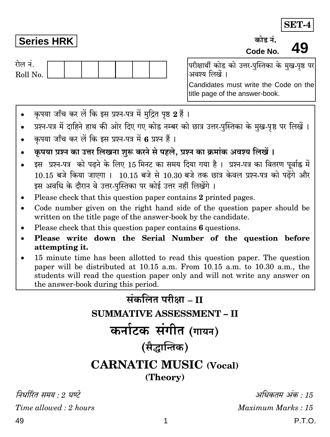SET-4

49

## **Series HRK**

गेल नं Roll No.

ਲਹੇਵ ਤੋਂ Code No.

परीक्षार्थी कोड को उत्तर-पस्तिका के मख-पष्ठ पर अवश्य लिखें ।

Candidates must write the Code on the title page of the answer-book.

- कृपया जाँच कर लें कि इस प्रश्न-पत्र में मुद्रित पृष्ठ 2 हैं ।
- प्रश्न-पत्र में दाहिने हाथ की ओर दिए गए कोड नम्बर को छात्र उत्तर-पुस्तिका के मुख-पृष्ठ पर लिखें ।
- कृपया जाँच कर लें कि इस प्रश्न-पत्र में 6 प्रश्न हैं।
- कृपया प्रश्न का उत्तर लिखना शुरू करने से पहले, प्रश्न का क्रमांक अवश्य लिखें।
- इस प्रश्न-पत्र को पढने के लिए 15 मिनट का समय दिया गया है। प्रश्न-पत्र का वितरण पूर्वाह्न में 10.15 बजे किया जाएगा । 10.15 बजे से 10.30 बजे तक छात्र केवल प्रश्न-पत्र को पढ़ेंगे और इस अवधि के दौरान वे उत्तर-पस्तिका पर कोई उत्तर नहीं लिखेंगे ।
- Please check that this question paper contains 2 printed pages.
- Code number given on the right hand side of the question paper should be  $\bullet$ written on the title page of the answer-book by the candidate.
- Please check that this question paper contains 6 questions.
- Please write down the Serial Number of the question before  $\bullet$ attempting it.
- 15 minute time has been allotted to read this question paper. The question paper will be distributed at 10.15 a.m. From 10.15 a.m. to 10.30 a.m., the students will read the question paper only and will not write any answer on the answer-book during this period.



निर्धारित समय · ? घण्टे Time allowed  $: 2 \text{ hours}$ 

अधिकतम् अंक  $\cdot$  15 Maximum Marks: 15 P.T.O.